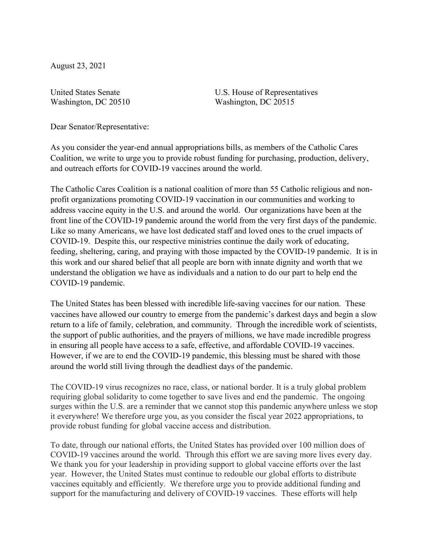August 23, 2021

United States Senate Washington, DC 20510 U.S. House of Representatives Washington, DC 20515

Dear Senator/Representative:

As you consider the year-end annual appropriations bills, as members of the Catholic Cares Coalition, we write to urge you to provide robust funding for purchasing, production, delivery, and outreach efforts for COVID-19 vaccines around the world.

The Catholic Cares Coalition is a national coalition of more than 55 Catholic religious and nonprofit organizations promoting COVID-19 vaccination in our communities and working to address vaccine equity in the U.S. and around the world. Our organizations have been at the front line of the COVID-19 pandemic around the world from the very first days of the pandemic. Like so many Americans, we have lost dedicated staff and loved ones to the cruel impacts of COVID-19. Despite this, our respective ministries continue the daily work of educating, feeding, sheltering, caring, and praying with those impacted by the COVID-19 pandemic. It is in this work and our shared belief that all people are born with innate dignity and worth that we understand the obligation we have as individuals and a nation to do our part to help end the COVID-19 pandemic.

The United States has been blessed with incredible life-saving vaccines for our nation. These vaccines have allowed our country to emerge from the pandemic's darkest days and begin a slow return to a life of family, celebration, and community. Through the incredible work of scientists, the support of public authorities, and the prayers of millions, we have made incredible progress in ensuring all people have access to a safe, effective, and affordable COVID-19 vaccines. However, if we are to end the COVID-19 pandemic, this blessing must be shared with those around the world still living through the deadliest days of the pandemic.

The COVID-19 virus recognizes no race, class, or national border. It is a truly global problem requiring global solidarity to come together to save lives and end the pandemic. The ongoing surges within the U.S. are a reminder that we cannot stop this pandemic anywhere unless we stop it everywhere! We therefore urge you, as you consider the fiscal year 2022 appropriations, to provide robust funding for global vaccine access and distribution.

To date, through our national efforts, the United States has provided over 100 million does of COVID-19 vaccines around the world. Through this effort we are saving more lives every day. We thank you for your leadership in providing support to global vaccine efforts over the last year. However, the United States must continue to redouble our global efforts to distribute vaccines equitably and efficiently. We therefore urge you to provide additional funding and support for the manufacturing and delivery of COVID-19 vaccines. These efforts will help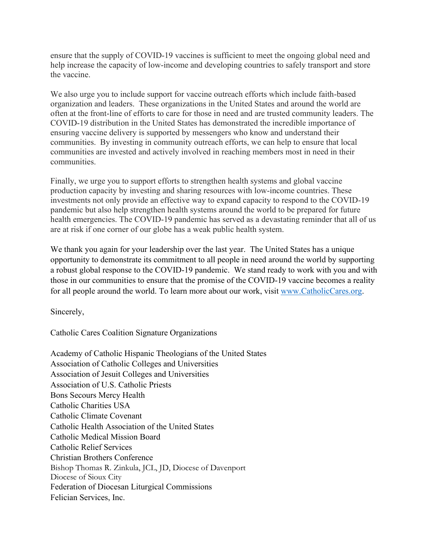ensure that the supply of COVID-19 vaccines is sufficient to meet the ongoing global need and help increase the capacity of low-income and developing countries to safely transport and store the vaccine.

We also urge you to include support for vaccine outreach efforts which include faith-based organization and leaders. These organizations in the United States and around the world are often at the front-line of efforts to care for those in need and are trusted community leaders. The COVID-19 distribution in the United States has demonstrated the incredible importance of ensuring vaccine delivery is supported by messengers who know and understand their communities. By investing in community outreach efforts, we can help to ensure that local communities are invested and actively involved in reaching members most in need in their communities.

Finally, we urge you to support efforts to strengthen health systems and global vaccine production capacity by investing and sharing resources with low-income countries. These investments not only provide an effective way to expand capacity to respond to the COVID-19 pandemic but also help strengthen health systems around the world to be prepared for future health emergencies. The COVID-19 pandemic has served as a devastating reminder that all of us are at risk if one corner of our globe has a weak public health system.

We thank you again for your leadership over the last year. The United States has a unique opportunity to demonstrate its commitment to all people in need around the world by supporting a robust global response to the COVID-19 pandemic. We stand ready to work with you and with those in our communities to ensure that the promise of the COVID-19 vaccine becomes a reality for all people around the world. To learn more about our work, visit [www.CatholicCares.org.](http://www.catholiccares.org/)

Sincerely,

Catholic Cares Coalition Signature Organizations

Academy of Catholic Hispanic Theologians of the United States Association of Catholic Colleges and Universities Association of Jesuit Colleges and Universities Association of U.S. Catholic Priests Bons Secours Mercy Health Catholic Charities USA Catholic Climate Covenant Catholic Health Association of the United States Catholic Medical Mission Board Catholic Relief Services Christian Brothers Conference Bishop Thomas R. Zinkula, JCL, JD, Diocese of Davenport Diocese of Sioux City Federation of Diocesan Liturgical Commissions Felician Services, Inc.